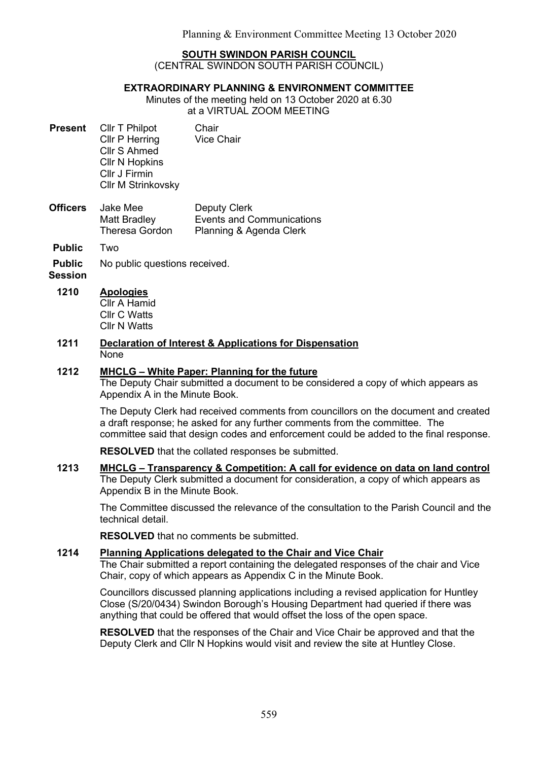#### SOUTH SWINDON PARISH COUNCIL

(CENTRAL SWINDON SOUTH PARISH COUNCIL)

#### EXTRAORDINARY PLANNING & ENVIRONMENT COMMITTEE

Minutes of the meeting held on 13 October 2020 at 6.30 at a VIRTUAL ZOOM MEETING

- Present Cllr T Philpot Chair Cllr P Herring Vice Chair Cllr S Ahmed Cllr N Hopkins Cllr J Firmin Cllr M Strinkovsky
- Officers Jake Mee Matt Bradley Theresa Gordon Deputy Clerk Events and Communications Planning & Agenda Clerk

Public Two

Public No public questions received.

**Session** 

#### 1210 Apologies

Cllr A Hamid Cllr C Watts Cllr N Watts

1211 Declaration of Interest & Applications for Dispensation **None** 

### 1212 MHCLG – White Paper: Planning for the future

The Deputy Chair submitted a document to be considered a copy of which appears as Appendix A in the Minute Book.

The Deputy Clerk had received comments from councillors on the document and created a draft response; he asked for any further comments from the committee. The committee said that design codes and enforcement could be added to the final response.

RESOLVED that the collated responses be submitted.

1213 MHCLG – Transparency & Competition: A call for evidence on data on land control The Deputy Clerk submitted a document for consideration, a copy of which appears as Appendix B in the Minute Book.

The Committee discussed the relevance of the consultation to the Parish Council and the technical detail.

RESOLVED that no comments be submitted.

### 1214 Planning Applications delegated to the Chair and Vice Chair

The Chair submitted a report containing the delegated responses of the chair and Vice Chair, copy of which appears as Appendix C in the Minute Book.

Councillors discussed planning applications including a revised application for Huntley Close (S/20/0434) Swindon Borough's Housing Department had queried if there was anything that could be offered that would offset the loss of the open space.

RESOLVED that the responses of the Chair and Vice Chair be approved and that the Deputy Clerk and Cllr N Hopkins would visit and review the site at Huntley Close.